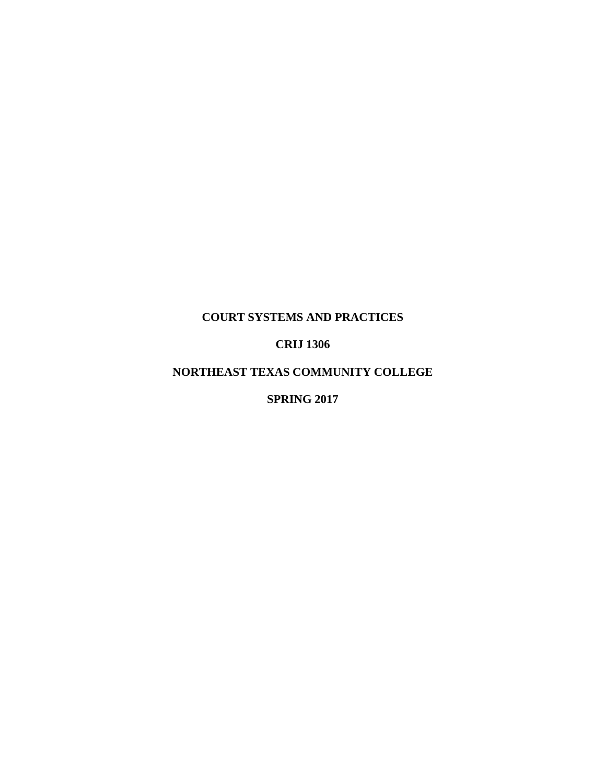# **COURT SYSTEMS AND PRACTICES**

# **CRIJ 1306**

## **NORTHEAST TEXAS COMMUNITY COLLEGE**

## **SPRING 2017**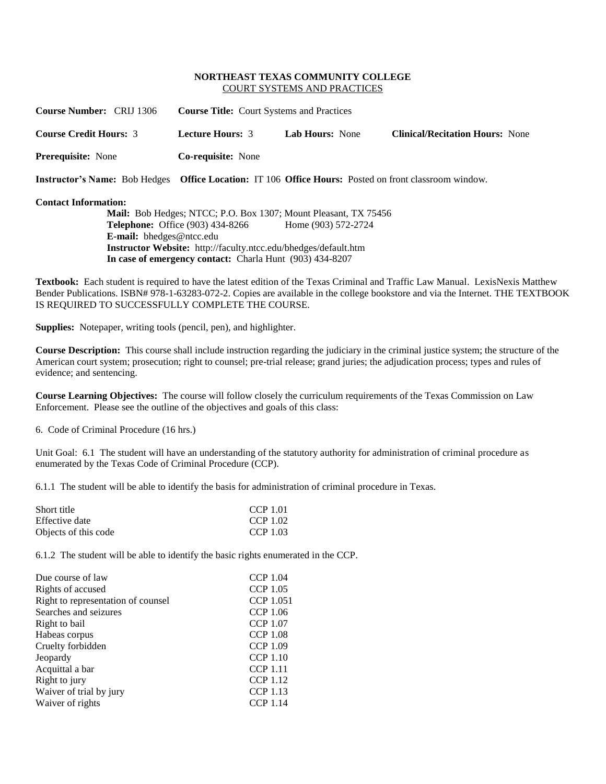### **NORTHEAST TEXAS COMMUNITY COLLEGE** COURT SYSTEMS AND PRACTICES

| <b>Course Number: CRIJ 1306</b>                                                                       | <b>Course Title:</b> Court Systems and Practices |                        |                                        |
|-------------------------------------------------------------------------------------------------------|--------------------------------------------------|------------------------|----------------------------------------|
| <b>Course Credit Hours: 3</b>                                                                         | <b>Lecture Hours: 3</b>                          | <b>Lab Hours:</b> None | <b>Clinical/Recitation Hours:</b> None |
| <b>Prerequisite:</b> None                                                                             | <b>Co-requisite:</b> None                        |                        |                                        |
| Instructor's Name: Bob Hedges Office Location: IT 106 Office Hours: Posted on front classroom window. |                                                  |                        |                                        |

## **Contact Information:**

**Mail:** Bob Hedges; NTCC; P.O. Box 1307; Mount Pleasant, TX 75456 **Telephone:** Office (903) 434-8266 Home (903) 572-2724 **E-mail:** [bhedges@ntcc.edu](mailto:bhedges@ntcc.edu) **Instructor Website:** http://faculty.ntcc.edu/bhedges/default.htm **In case of emergency contact:** Charla Hunt (903) 434-8207

**Textbook:** Each student is required to have the latest edition of the Texas Criminal and Traffic Law Manual. LexisNexis Matthew Bender Publications. ISBN# 978-1-63283-072-2. Copies are available in the college bookstore and via the Internet. THE TEXTBOOK IS REQUIRED TO SUCCESSFULLY COMPLETE THE COURSE.

**Supplies:** Notepaper, writing tools (pencil, pen), and highlighter.

**Course Description:** This course shall include instruction regarding the judiciary in the criminal justice system; the structure of the American court system; prosecution; right to counsel; pre-trial release; grand juries; the adjudication process; types and rules of evidence; and sentencing.

**Course Learning Objectives:** The course will follow closely the curriculum requirements of the Texas Commission on Law Enforcement. Please see the outline of the objectives and goals of this class:

6. Code of Criminal Procedure (16 hrs.)

Unit Goal: 6.1 The student will have an understanding of the statutory authority for administration of criminal procedure as enumerated by the Texas Code of Criminal Procedure (CCP).

6.1.1 The student will be able to identify the basis for administration of criminal procedure in Texas.

| Short title          | CCP 1.01 |
|----------------------|----------|
| Effective date       | CCP 1.02 |
| Objects of this code | CCP 1.03 |

6.1.2 The student will be able to identify the basic rights enumerated in the CCP.

| Due course of law                  | <b>CCP 1.04</b>  |
|------------------------------------|------------------|
| Rights of accused                  | <b>CCP 1.05</b>  |
| Right to representation of counsel | <b>CCP 1.051</b> |
| Searches and seizures              | <b>CCP 1.06</b>  |
| Right to bail                      | <b>CCP 1.07</b>  |
| Habeas corpus                      | <b>CCP 1.08</b>  |
| Cruelty forbidden                  | <b>CCP 1.09</b>  |
| Jeopardy                           | <b>CCP 1.10</b>  |
| Acquittal a bar                    | <b>CCP</b> 1.11  |
| Right to jury                      | <b>CCP 1.12</b>  |
| Waiver of trial by jury            | <b>CCP 1.13</b>  |
| Waiver of rights                   | <b>CCP</b> 1.14  |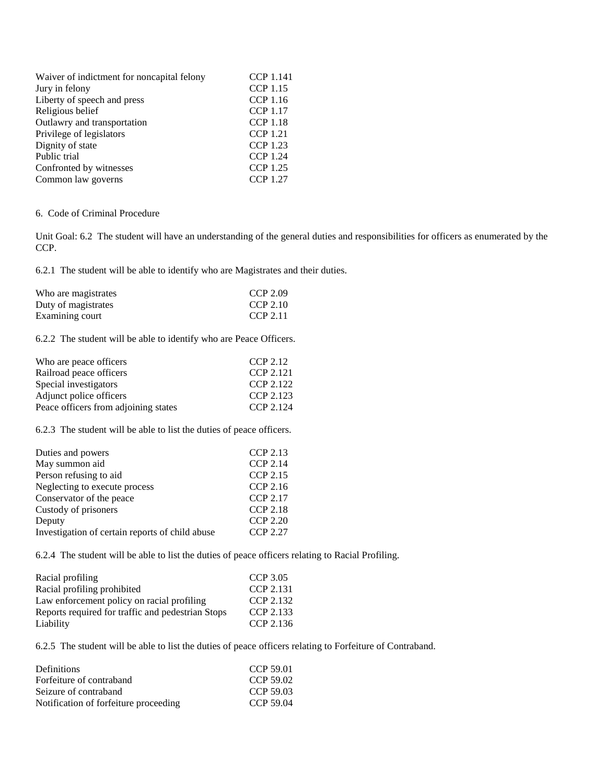| Waiver of indictment for noncapital felony | <b>CCP 1.141</b> |
|--------------------------------------------|------------------|
| Jury in felony                             | <b>CCP</b> 1.15  |
| Liberty of speech and press                | <b>CCP</b> 1.16  |
| Religious belief                           | <b>CCP 1.17</b>  |
| Outlawry and transportation                | <b>CCP 1.18</b>  |
| Privilege of legislators                   | <b>CCP</b> 1.21  |
| Dignity of state                           | <b>CCP 1.23</b>  |
| Public trial                               | <b>CCP</b> 1.24  |
| Confronted by witnesses                    | <b>CCP 1.25</b>  |
| Common law governs                         | <b>CCP 1.27</b>  |
|                                            |                  |

## 6. Code of Criminal Procedure

Unit Goal: 6.2 The student will have an understanding of the general duties and responsibilities for officers as enumerated by the CCP.

6.2.1 The student will be able to identify who are Magistrates and their duties.

| Who are magistrates | CCP 2.09 |
|---------------------|----------|
| Duty of magistrates | CCP 2.10 |
| Examining court     | CCP 2.11 |

6.2.2 The student will be able to identify who are Peace Officers.

| Who are peace officers               | CCP 2.12  |
|--------------------------------------|-----------|
| Railroad peace officers              | CCP 2.121 |
| Special investigators                | CCP 2.122 |
| Adjunct police officers              | CCP 2.123 |
| Peace officers from adjoining states | CCP 2.124 |
|                                      |           |

6.2.3 The student will be able to list the duties of peace officers.

| Duties and powers                               | <b>CCP 2.13</b> |
|-------------------------------------------------|-----------------|
| May summon aid                                  | <b>CCP 2.14</b> |
| Person refusing to aid                          | <b>CCP 2.15</b> |
| Neglecting to execute process                   | CCP 2.16        |
| Conservator of the peace                        | <b>CCP 2.17</b> |
| Custody of prisoners                            | <b>CCP 2.18</b> |
| Deputy                                          | <b>CCP 2.20</b> |
| Investigation of certain reports of child abuse | CCP 2.27        |

6.2.4 The student will be able to list the duties of peace officers relating to Racial Profiling.

| Racial profiling                                  | CCP 3.05  |
|---------------------------------------------------|-----------|
| Racial profiling prohibited                       | CCP 2.131 |
| Law enforcement policy on racial profiling        | CCP 2.132 |
| Reports required for traffic and pedestrian Stops | CCP 2.133 |
| Liability                                         | CCP 2.136 |

6.2.5 The student will be able to list the duties of peace officers relating to Forfeiture of Contraband.

| <b>Definitions</b>                    | CCP 59.01 |
|---------------------------------------|-----------|
| Forfeiture of contraband              | CCP 59.02 |
| Seizure of contraband                 | CCP 59.03 |
| Notification of forfeiture proceeding | CCP 59.04 |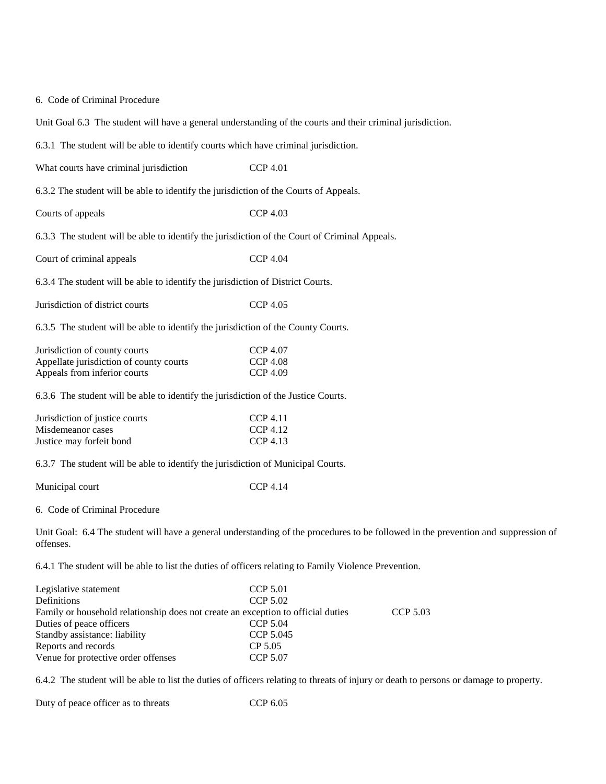### 6. Code of Criminal Procedure

Unit Goal 6.3 The student will have a general understanding of the courts and their criminal jurisdiction.

6.3.1 The student will be able to identify courts which have criminal jurisdiction.

What courts have criminal jurisdiction CCP 4.01

6.3.2 The student will be able to identify the jurisdiction of the Courts of Appeals.

Courts of appeals CCP 4.03

6.3.3 The student will be able to identify the jurisdiction of the Court of Criminal Appeals.

Court of criminal appeals CCP 4.04

6.3.4 The student will be able to identify the jurisdiction of District Courts.

Jurisdiction of district courts CCP 4.05

6.3.5 The student will be able to identify the jurisdiction of the County Courts.

| Jurisdiction of county courts           | CCP 4.07 |
|-----------------------------------------|----------|
| Appellate jurisdiction of county courts | CCP 4.08 |
| Appeals from inferior courts            | CCP 4.09 |

6.3.6 The student will be able to identify the jurisdiction of the Justice Courts.

| Jurisdiction of justice courts | CCP 4.11 |
|--------------------------------|----------|
| Misdemeanor cases              | CCP 4.12 |
| Justice may forfeit bond       | CCP 4.13 |

6.3.7 The student will be able to identify the jurisdiction of Municipal Courts.

Municipal court CCP 4.14

6. Code of Criminal Procedure

Unit Goal: 6.4 The student will have a general understanding of the procedures to be followed in the prevention and suppression of offenses.

6.4.1 The student will be able to list the duties of officers relating to Family Violence Prevention.

| Legislative statement                                                            | <b>CCP 5.01</b> |          |
|----------------------------------------------------------------------------------|-----------------|----------|
| Definitions                                                                      | CCP 5.02        |          |
| Family or household relationship does not create an exception to official duties |                 | CCP 5.03 |
| Duties of peace officers                                                         | CCP 5.04        |          |
| Standby assistance: liability                                                    | CCP 5.045       |          |
| Reports and records                                                              | CP 5.05         |          |
| Venue for protective order offenses                                              | <b>CCP 5.07</b> |          |

6.4.2 The student will be able to list the duties of officers relating to threats of injury or death to persons or damage to property.

Duty of peace officer as to threats CCP 6.05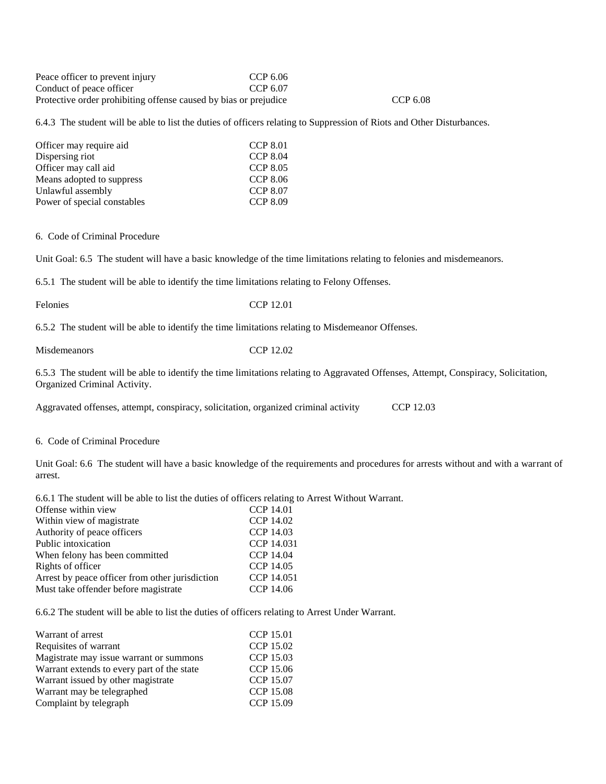Peace officer to prevent injury CCP 6.06 Conduct of peace officer CCP 6.07 Protective order prohibiting offense caused by bias or prejudice CCP 6.08

6.4.3 The student will be able to list the duties of officers relating to Suppression of Riots and Other Disturbances.

| Officer may require aid     | <b>CCP 8.01</b> |
|-----------------------------|-----------------|
| Dispersing riot             | <b>CCP 8.04</b> |
| Officer may call aid        | <b>CCP 8.05</b> |
| Means adopted to suppress   | CCP 8.06        |
| Unlawful assembly           | <b>CCP 8.07</b> |
| Power of special constables | <b>CCP 8.09</b> |

#### 6. Code of Criminal Procedure

Unit Goal: 6.5 The student will have a basic knowledge of the time limitations relating to felonies and misdemeanors.

6.5.1 The student will be able to identify the time limitations relating to Felony Offenses.

Felonies CCP 12.01

6.5.2 The student will be able to identify the time limitations relating to Misdemeanor Offenses.

Misdemeanors CCP 12.02

6.5.3 The student will be able to identify the time limitations relating to Aggravated Offenses, Attempt, Conspiracy, Solicitation, Organized Criminal Activity.

Aggravated offenses, attempt, conspiracy, solicitation, organized criminal activity CCP 12.03

### 6. Code of Criminal Procedure

Unit Goal: 6.6 The student will have a basic knowledge of the requirements and procedures for arrests without and with a warrant of arrest.

6.6.1 The student will be able to list the duties of officers relating to Arrest Without Warrant.

| <b>CCP 14.01</b> |
|------------------|
| CCP 14.02        |
| CCP 14.03        |
| CCP 14.031       |
| CCP 14.04        |
| CCP 14.05        |
| CCP 14.051       |
| CCP 14.06        |
|                  |

6.6.2 The student will be able to list the duties of officers relating to Arrest Under Warrant.

| Warrant of arrest                          | <b>CCP 15.01</b> |
|--------------------------------------------|------------------|
| Requisites of warrant                      | CCP 15.02        |
| Magistrate may issue warrant or summons    | CCP 15.03        |
| Warrant extends to every part of the state | CCP 15.06        |
| Warrant issued by other magistrate         | <b>CCP 15.07</b> |
| Warrant may be telegraphed                 | <b>CCP 15.08</b> |
| Complaint by telegraph                     | CCP 15.09        |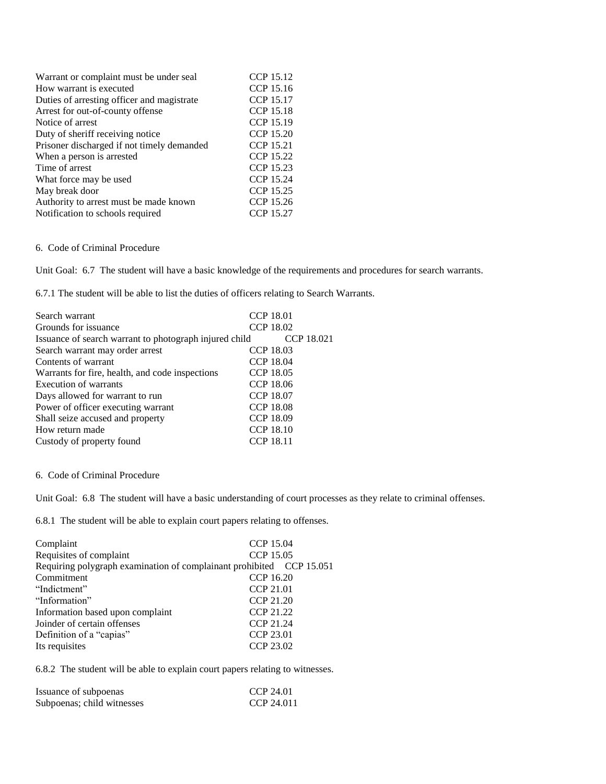| Warrant or complaint must be under seal    | CCP 15.12        |
|--------------------------------------------|------------------|
| How warrant is executed                    | CCP 15.16        |
| Duties of arresting officer and magistrate | CCP 15.17        |
| Arrest for out-of-county offense           | <b>CCP 15.18</b> |
| Notice of arrest                           | CCP 15.19        |
| Duty of sheriff receiving notice           | CCP 15.20        |
| Prisoner discharged if not timely demanded | CCP 15.21        |
| When a person is arrested                  | CCP 15.22        |
| Time of arrest                             | CCP 15.23        |
| What force may be used                     | CCP 15.24        |
| May break door                             | CCP 15.25        |
| Authority to arrest must be made known     | CCP 15.26        |
| Notification to schools required           | CCP 15.27        |

### 6. Code of Criminal Procedure

Unit Goal: 6.7 The student will have a basic knowledge of the requirements and procedures for search warrants.

6.7.1 The student will be able to list the duties of officers relating to Search Warrants.

| Search warrant                                         | <b>CCP 18.01</b> |
|--------------------------------------------------------|------------------|
| Grounds for issuance                                   | CCP 18.02        |
| Issuance of search warrant to photograph injured child | CCP 18.021       |
| Search warrant may order arrest                        | CCP 18.03        |
| Contents of warrant                                    | <b>CCP 18.04</b> |
| Warrants for fire, health, and code inspections        | CCP 18.05        |
| Execution of warrants                                  | CCP 18.06        |
| Days allowed for warrant to run                        | <b>CCP 18.07</b> |
| Power of officer executing warrant                     | <b>CCP 18.08</b> |
| Shall seize accused and property                       | CCP 18.09        |
| How return made                                        | <b>CCP 18.10</b> |
| Custody of property found                              | <b>CCP 18.11</b> |

### 6. Code of Criminal Procedure

Unit Goal: 6.8 The student will have a basic understanding of court processes as they relate to criminal offenses.

6.8.1 The student will be able to explain court papers relating to offenses.

| Complaint                                                            | CCP 15.04 |  |
|----------------------------------------------------------------------|-----------|--|
| Requisites of complaint                                              | CCP 15.05 |  |
| Requiring polygraph examination of complainant prohibited CCP 15.051 |           |  |
| Commitment                                                           | CCP 16.20 |  |
| "Indictment"                                                         | CCP 21.01 |  |
| "Information"                                                        | CCP 21.20 |  |
| Information based upon complaint                                     | CCP 21.22 |  |
| Joinder of certain offenses                                          | CCP 21.24 |  |
| Definition of a "capias"                                             | CCP 23.01 |  |
| Its requisites                                                       | CCP 23.02 |  |

6.8.2 The student will be able to explain court papers relating to witnesses.

| Issuance of subpoenas      | CCP 24.01  |
|----------------------------|------------|
| Subpoenas; child witnesses | CCP 24.011 |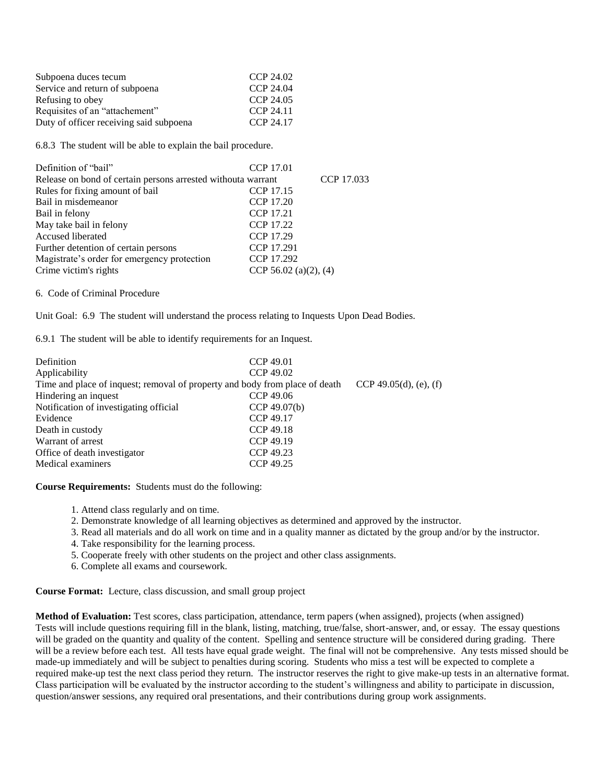| Subpoena duces tecum                    | CCP 24.02 |
|-----------------------------------------|-----------|
| Service and return of subpoena          | CCP 24.04 |
| Refusing to obey                        | CCP 24.05 |
| Requisites of an "attachement"          | CCP 24.11 |
| Duty of officer receiving said subpoena | CCP 24.17 |

6.8.3 The student will be able to explain the bail procedure.

| Definition of "bail"                                         | CCP 17.01             |            |
|--------------------------------------------------------------|-----------------------|------------|
| Release on bond of certain persons arrested withouta warrant |                       | CCP 17.033 |
| Rules for fixing amount of bail                              | CCP 17.15             |            |
| Bail in misdemeanor                                          | CCP 17.20             |            |
| Bail in felony                                               | CCP 17.21             |            |
| May take bail in felony                                      | CCP 17.22             |            |
| Accused liberated                                            | CCP 17.29             |            |
| Further detention of certain persons                         | CCP 17.291            |            |
| Magistrate's order for emergency protection                  | CCP 17.292            |            |
| Crime victim's rights                                        | CCP 56.02 (a)(2), (4) |            |

6. Code of Criminal Procedure

Unit Goal: 6.9 The student will understand the process relating to Inquests Upon Dead Bodies.

6.9.1 The student will be able to identify requirements for an Inquest.

| Definition                                                                  | CCP 49.01    |                        |
|-----------------------------------------------------------------------------|--------------|------------------------|
| Applicability                                                               | CCP 49.02    |                        |
| Time and place of inquest; removal of property and body from place of death |              | CCP 49.05(d), (e), (f) |
| Hindering an inquest                                                        | CCP 49.06    |                        |
| Notification of investigating official                                      | CCP 49.07(b) |                        |
| Evidence                                                                    | CCP 49.17    |                        |
| Death in custody                                                            | CCP 49.18    |                        |
| Warrant of arrest                                                           | CCP 49.19    |                        |
| Office of death investigator                                                | CCP 49.23    |                        |
| Medical examiners                                                           | CCP 49.25    |                        |

**Course Requirements:** Students must do the following:

- 1. Attend class regularly and on time.
- 2. Demonstrate knowledge of all learning objectives as determined and approved by the instructor.
- 3. Read all materials and do all work on time and in a quality manner as dictated by the group and/or by the instructor.
- 4. Take responsibility for the learning process.
- 5. Cooperate freely with other students on the project and other class assignments.
- 6. Complete all exams and coursework.

**Course Format:** Lecture, class discussion, and small group project

**Method of Evaluation:** Test scores, class participation, attendance, term papers (when assigned), projects (when assigned) Tests will include questions requiring fill in the blank, listing, matching, true/false, short-answer, and, or essay. The essay questions will be graded on the quantity and quality of the content. Spelling and sentence structure will be considered during grading. There will be a review before each test. All tests have equal grade weight. The final will not be comprehensive. Any tests missed should be made-up immediately and will be subject to penalties during scoring. Students who miss a test will be expected to complete a required make-up test the next class period they return. The instructor reserves the right to give make-up tests in an alternative format. Class participation will be evaluated by the instructor according to the student's willingness and ability to participate in discussion, question/answer sessions, any required oral presentations, and their contributions during group work assignments.